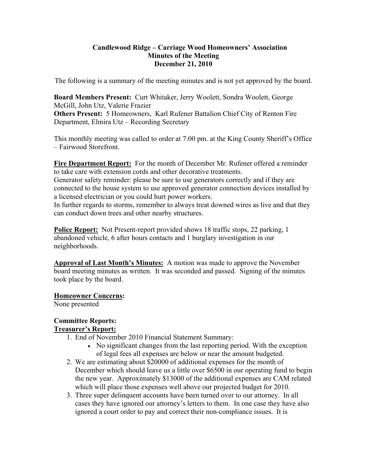### **Candlewood Ridge – Carriage Wood Homeowners' Association Minutes of the Meeting December 21, 2010**

The following is a summary of the meeting minutes and is not yet approved by the board.

**Board Members Present:** Curt Whitaker, Jerry Woolett, Sondra Woolett, George McGill, John Utz, Valerie Frazier **Others Present:** 5 Homeowners, Karl Rufener Battalion Chief City of Renton Fire Department, Elmira Utz – Recording Secretary

This monthly meeting was called to order at 7:00 pm. at the King County Sheriff's Office – Fairwood Storefront.

**Fire Department Report:** For the month of December Mr. Rufener offered a reminder to take care with extension cords and other decorative treatments.

Generator safety reminder: please be sure to use generators correctly and if they are connected to the house system to use approved generator connection devices installed by a licensed electrician or you could hurt power workers.

In further regards to storms, remember to always treat downed wires as live and that they can conduct down trees and other nearby structures.

**Police Report:** Not Present-report provided shows 18 traffic stops, 22 parking, 1 abandoned vehicle, 6 after hours contacts and 1 burglary investigation in our neighborhoods.

**Approval of Last Month's Minutes:** A motion was made to approve the November board meeting minutes as written. It was seconded and passed. Signing of the minutes took place by the board.

## **Homeowner Concerns:**

None presented

### **Committee Reports: Treasurer's Report:**

- 1. End of November 2010 Financial Statement Summary:
	- No significant changes from the last reporting period. With the exception of legal fees all expenses are below or near the amount budgeted.
- 2. We are estimating about \$20000 of additional expenses for the month of December which should leave us a little over \$6500 in our operating fund to begin the new year. Approximately \$13000 of the additional expenses are CAM related which will place those expenses well above our projected budget for 2010.
- 3. Three super delinquent accounts have been turned over to our attorney. In all cases they have ignored our attorney's letters to them. In one case they have also ignored a court order to pay and correct their non-compliance issues. It is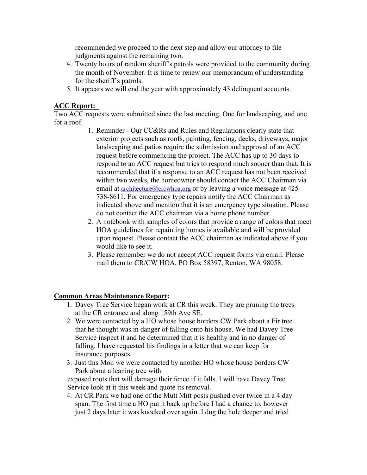recommended we proceed to the next step and allow our attorney to file judgments against the remaining two.

- 4. Twenty hours of random sheriff's patrols were provided to the community during the month of November. It is time to renew our memorandum of understanding for the sheriff's patrols.
- 5. It appears we will end the year with approximately 43 delinquent accounts.

## **ACC Report:**

Two ACC requests were submitted since the last meeting. One for landscaping, and one for a roof.

- 1. Reminder Our CC&Rs and Rules and Regulations clearly state that exterior projects such as roofs, painting, fencing, decks, driveways, major landscaping and patios require the submission and approval of an ACC request before commencing the project. The ACC has up to 30 days to respond to an ACC request but tries to respond much sooner than that. It is recommended that if a response to an ACC request has not been received within two weeks, the homeowner should contact the ACC Chairman via email at architecture@crcwhoa.org or by leaving a voice message at 425-738-8611. For emergency type repairs notify the ACC Chairman as indicated above and mention that it is an emergency type situation. Please do not contact the ACC chairman via a home phone number.
- 2. A notebook with samples of colors that provide a range of colors that meet HOA guidelines for repainting homes is available and will be provided upon request. Please contact the ACC chairman as indicated above if you would like to see it.
- 3. Please remember we do not accept ACC request forms via email. Please mail them to CR/CW HOA, PO Box 58397, Renton, WA 98058.

## **Common Areas Maintenance Report:**

- 1. Davey Tree Service began work at CR this week. They are pruning the trees at the CR entrance and along 159th Ave SE.
- 2. We were contacted by a HO whose house borders CW Park about a Fir tree that he thought was in danger of falling onto his house. We had Davey Tree Service inspect it and he determined that it is healthy and in no danger of falling. I have requested his findings in a letter that we can keep for insurance purposes.
- 3. Just this Mon we were contacted by another HO whose house borders CW Park about a leaning tree with

exposed roots that will damage their fence if it falls. I will have Davey Tree Service look at it this week and quote its removal.

4. At CR Park we had one of the Mutt Mitt posts pushed over twice in a 4 day span. The first time a HO put it back up before I had a chance to, however just 2 days later it was knocked over again. I dug the hole deeper and tried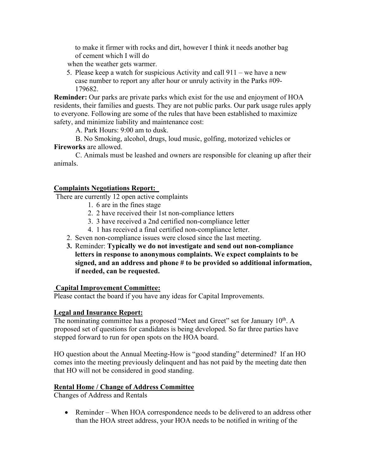to make it firmer with rocks and dirt, however I think it needs another bag of cement which I will do

when the weather gets warmer.

5. Please keep a watch for suspicious Activity and call 911 – we have a new case number to report any after hour or unruly activity in the Parks #09- 179682.

**Reminder:** Our parks are private parks which exist for the use and enjoyment of HOA residents, their families and guests. They are not public parks. Our park usage rules apply to everyone. Following are some of the rules that have been established to maximize safety, and minimize liability and maintenance cost:

A. Park Hours: 9:00 am to dusk.

B. No Smoking, alcohol, drugs, loud music, golfing, motorized vehicles or **Fireworks** are allowed.

C. Animals must be leashed and owners are responsible for cleaning up after their animals.

## **Complaints Negotiations Report:**

There are currently 12 open active complaints

- 1. 6 are in the fines stage
- 2. 2 have received their 1st non-compliance letters
- 3. 3 have received a 2nd certified non-compliance letter
- 4. 1 has received a final certified non-compliance letter.
- 2. Seven non-compliance issues were closed since the last meeting.
- **3.** Reminder: **Typically we do not investigate and send out non-compliance letters in response to anonymous complaints. We expect complaints to be signed, and an address and phone # to be provided so additional information, if needed, can be requested.**

#### **Capital Improvement Committee:**

Please contact the board if you have any ideas for Capital Improvements.

#### **Legal and Insurance Report:**

The nominating committee has a proposed "Meet and Greet" set for January  $10<sup>th</sup>$ . A proposed set of questions for candidates is being developed. So far three parties have stepped forward to run for open spots on the HOA board.

HO question about the Annual Meeting-How is "good standing" determined? If an HO comes into the meeting previously delinquent and has not paid by the meeting date then that HO will not be considered in good standing.

## **Rental Home / Change of Address Committee**

Changes of Address and Rentals

 Reminder – When HOA correspondence needs to be delivered to an address other than the HOA street address, your HOA needs to be notified in writing of the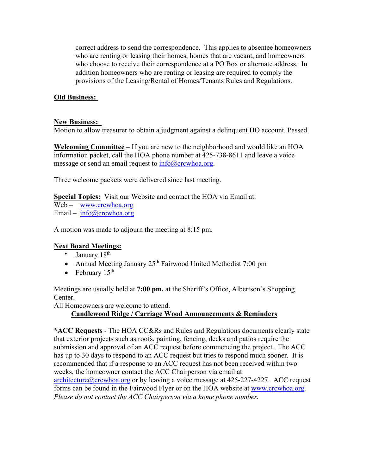correct address to send the correspondence. This applies to absentee homeowners who are renting or leasing their homes, homes that are vacant, and homeowners who choose to receive their correspondence at a PO Box or alternate address. In addition homeowners who are renting or leasing are required to comply the provisions of the Leasing/Rental of Homes/Tenants Rules and Regulations.

## **Old Business:**

#### **New Business:**

Motion to allow treasurer to obtain a judgment against a delinquent HO account. Passed.

**Welcoming Committee** – If you are new to the neighborhood and would like an HOA information packet, call the HOA phone number at 425-738-8611 and leave a voice message or send an email request to  $\frac{info@crcwhoa.org}{info@cccwhoa.org}$ .

Three welcome packets were delivered since last meeting.

**Special Topics:** Visit our Website and contact the HOA via Email at:

Web – www.crcwhoa.org

Email –  $info@crcwhoa.org$ 

A motion was made to adjourn the meeting at 8:15 pm.

## **Next Board Meetings:**

- January  $18<sup>th</sup>$
- Annual Meeting January  $25<sup>th</sup>$  Fairwood United Methodist 7:00 pm
- February  $15<sup>th</sup>$

Meetings are usually held at **7:00 pm.** at the Sheriff's Office, Albertson's Shopping Center.

All Homeowners are welcome to attend.

# **Candlewood Ridge / Carriage Wood Announcements & Reminders**

**\*ACC Requests** - The HOA CC&Rs and Rules and Regulations documents clearly state that exterior projects such as roofs, painting, fencing, decks and patios require the submission and approval of an ACC request before commencing the project. The ACC has up to 30 days to respond to an ACC request but tries to respond much sooner. It is recommended that if a response to an ACC request has not been received within two weeks, the homeowner contact the ACC Chairperson via email at architecture@crcwhoa.org or by leaving a voice message at 425-227-4227. ACC request forms can be found in the Fairwood Flyer or on the HOA website at www.crcwhoa.org. *Please do not contact the ACC Chairperson via a home phone number.*